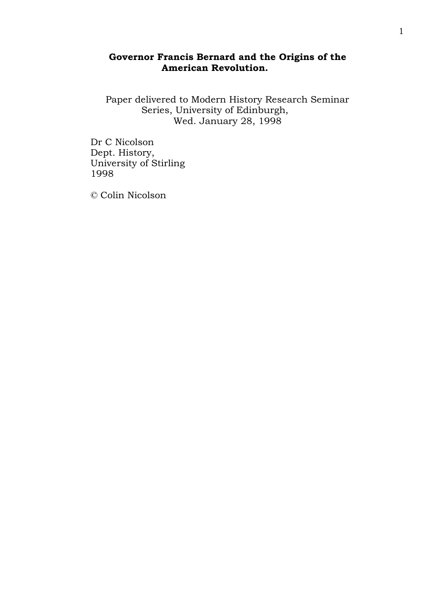# **Governor Francis Bernard and the Origins of the American Revolution.**

Paper delivered to Modern History Research Seminar Series, University of Edinburgh, Wed. January 28, 1998

Dr C Nicolson Dept. History, University of Stirling 1998

© Colin Nicolson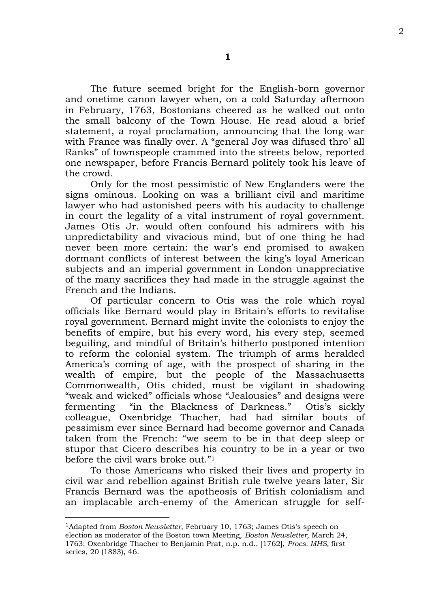The future seemed bright for the English-born governor and onetime canon lawyer when, on a cold Saturday afternoon in February, 1763, Bostonians cheered as he walked out onto the small balcony of the Town House. He read aloud a brief statement, a royal proclamation, announcing that the long war with France was finally over. A "general Joy was difused thro' all Ranks" of townspeople crammed into the streets below, reported one newspaper, before Francis Bernard politely took his leave of the crowd.

Only for the most pessimistic of New Englanders were the signs ominous. Looking on was a brilliant civil and maritime lawyer who had astonished peers with his audacity to challenge in court the legality of a vital instrument of royal government. James Otis Jr. would often confound his admirers with his unpredictability and vivacious mind, but of one thing he had never been more certain: the war's end promised to awaken dormant conflicts of interest between the king's loyal American subjects and an imperial government in London unappreciative of the many sacrifices they had made in the struggle against the French and the Indians.

Of particular concern to Otis was the role which royal officials like Bernard would play in Britain's efforts to revitalise royal government. Bernard might invite the colonists to enjoy the benefits of empire, but his every word, his every step, seemed beguiling, and mindful of Britain's hitherto postponed intention to reform the colonial system. The triumph of arms heralded America's coming of age, with the prospect of sharing in the wealth of empire, but the people of the Massachusetts Commonwealth, Otis chided, must be vigilant in shadowing "weak and wicked" officials whose "Jealousies" and designs were fermenting "in the Blackness of Darkness." Otis's sickly colleague, Oxenbridge Thacher, had had similar bouts of pessimism ever since Bernard had become governor and Canada taken from the French: "we seem to be in that deep sleep or stupor that Cicero describes his country to be in a year or two before the civil wars broke out."<sup>1</sup>

To those Americans who risked their lives and property in civil war and rebellion against British rule twelve years later, Sir Francis Bernard was the apotheosis of British colonialism and an implacable arch-enemy of the American struggle for self-

<sup>1</sup>Adapted from *Boston Newsletter*, February 10, 1763; James Otis's speech on election as moderator of the Boston town Meeting, *Boston Newsletter,* March 24, 1763; Oxenbridge Thacher to Benjamin Prat, n.p. n.d., [1762], *Procs. MHS,* first series, 20 (1883), 46.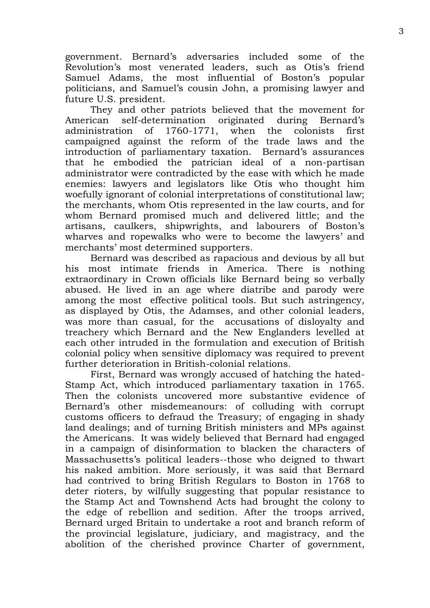government. Bernard's adversaries included some of the Revolution's most venerated leaders, such as Otis's friend Samuel Adams, the most influential of Boston's popular politicians, and Samuel's cousin John, a promising lawyer and future U.S. president.

They and other patriots believed that the movement for American self-determination originated during Bernard's administration of 1760-1771, when the colonists first campaigned against the reform of the trade laws and the introduction of parliamentary taxation. Bernard's assurances that he embodied the patrician ideal of a non-partisan administrator were contradicted by the ease with which he made enemies: lawyers and legislators like Otis who thought him woefully ignorant of colonial interpretations of constitutional law; the merchants, whom Otis represented in the law courts, and for whom Bernard promised much and delivered little; and the artisans, caulkers, shipwrights, and labourers of Boston's wharves and ropewalks who were to become the lawyers' and merchants' most determined supporters.

Bernard was described as rapacious and devious by all but his most intimate friends in America. There is nothing extraordinary in Crown officials like Bernard being so verbally abused. He lived in an age where diatribe and parody were among the most effective political tools. But such astringency, as displayed by Otis, the Adamses, and other colonial leaders, was more than casual, for the accusations of disloyalty and treachery which Bernard and the New Englanders levelled at each other intruded in the formulation and execution of British colonial policy when sensitive diplomacy was required to prevent further deterioration in British-colonial relations.

First, Bernard was wrongly accused of hatching the hated-Stamp Act, which introduced parliamentary taxation in 1765. Then the colonists uncovered more substantive evidence of Bernard's other misdemeanours: of colluding with corrupt customs officers to defraud the Treasury; of engaging in shady land dealings; and of turning British ministers and MPs against the Americans. It was widely believed that Bernard had engaged in a campaign of disinformation to blacken the characters of Massachusetts's political leaders--those who deigned to thwart his naked ambition. More seriously, it was said that Bernard had contrived to bring British Regulars to Boston in 1768 to deter rioters, by wilfully suggesting that popular resistance to the Stamp Act and Townshend Acts had brought the colony to the edge of rebellion and sedition. After the troops arrived, Bernard urged Britain to undertake a root and branch reform of the provincial legislature, judiciary, and magistracy, and the abolition of the cherished province Charter of government,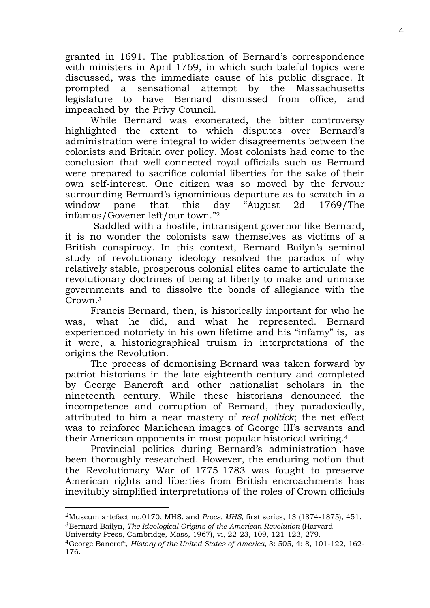granted in 1691. The publication of Bernard's correspondence with ministers in April 1769, in which such baleful topics were discussed, was the immediate cause of his public disgrace. It prompted a sensational attempt by the Massachusetts legislature to have Bernard dismissed from office, and impeached by the Privy Council.

While Bernard was exonerated, the bitter controversy highlighted the extent to which disputes over Bernard's administration were integral to wider disagreements between the colonists and Britain over policy. Most colonists had come to the conclusion that well-connected royal officials such as Bernard were prepared to sacrifice colonial liberties for the sake of their own self-interest. One citizen was so moved by the fervour surrounding Bernard's ignominious departure as to scratch in a window pane that this day "August 2d 1769/The infamas/Govener left/our town."<sup>2</sup>

Saddled with a hostile, intransigent governor like Bernard, it is no wonder the colonists saw themselves as victims of a British conspiracy. In this context, Bernard Bailyn's seminal study of revolutionary ideology resolved the paradox of why relatively stable, prosperous colonial elites came to articulate the revolutionary doctrines of being at liberty to make and unmake governments and to dissolve the bonds of allegiance with the Crown.<sup>3</sup>

Francis Bernard, then, is historically important for who he was, what he did, and what he represented. Bernard experienced notoriety in his own lifetime and his "infamy" is, as it were, a historiographical truism in interpretations of the origins the Revolution.

The process of demonising Bernard was taken forward by patriot historians in the late eighteenth-century and completed by George Bancroft and other nationalist scholars in the nineteenth century. While these historians denounced the incompetence and corruption of Bernard, they paradoxically, attributed to him a near mastery of *real politick*; the net effect was to reinforce Manichean images of George III's servants and their American opponents in most popular historical writing.<sup>4</sup>

Provincial politics during Bernard's administration have been thoroughly researched. However, the enduring notion that the Revolutionary War of 1775-1783 was fought to preserve American rights and liberties from British encroachments has inevitably simplified interpretations of the roles of Crown officials

<sup>2</sup>Museum artefact no.0170, MHS, and *Procs. MHS,* first series, 13 (1874-1875), 451. 3Bernard Bailyn, *The Ideological Origins of the American Revolution* (Harvard

University Press, Cambridge, Mass, 1967), vi, 22-23, 109, 121-123, 279.

<sup>4</sup>George Bancroft, *History of the United States of America,* 3: 505, 4: 8, 101-122, 162- 176.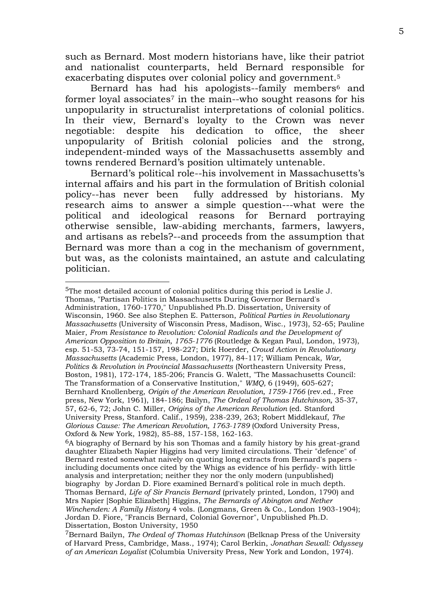such as Bernard. Most modern historians have, like their patriot and nationalist counterparts, held Bernard responsible for exacerbating disputes over colonial policy and government.<sup>5</sup>

Bernard has had his apologists--family members<sup>6</sup> and former loyal associates<sup> $7$ </sup> in the main--who sought reasons for his unpopularity in structuralist interpretations of colonial politics. In their view, Bernard's loyalty to the Crown was never negotiable: despite his dedication to office, the sheer unpopularity of British colonial policies and the strong, independent-minded ways of the Massachusetts assembly and towns rendered Bernard's position ultimately untenable.

Bernard's political role--his involvement in Massachusetts's internal affairs and his part in the formulation of British colonial policy--has never been fully addressed by historians. My research aims to answer a simple question---what were the political and ideological reasons for Bernard portraying otherwise sensible, law-abiding merchants, farmers, lawyers, and artisans as rebels?--and proceeds from the assumption that Bernard was more than a cog in the mechanism of government, but was, as the colonists maintained, an astute and calculating politician.

<sup>5</sup>The most detailed account of colonial politics during this period is Leslie J. Thomas, "Partisan Politics in Massachusetts During Governor Bernard's Administration, 1760-1770," Unpublished Ph.D. Dissertation, University of Wisconsin, 1960. See also Stephen E. Patterson, *Political Parties in Revolutionary Massachusetts* (University of Wisconsin Press, Madison, Wisc., 1973), 52-65; Pauline Maier, *From Resistance to Revolution: Colonial Radicals and the Development of American Opposition to Britain, 1765-1776* (Routledge & Kegan Paul, London, 1973), esp. 51-53, 73-74, 151-157, 198-227; Dirk Hoerder, *Crowd Action in Revolutionary Massachusetts* (Academic Press, London, 1977), 84-117; William Pencak, *War, Politics & Revolution in Provincial Massachusetts* (Northeastern University Press, Boston, 1981), 172-174, 185-206; Francis G. Walett, "The Massachusetts Council: The Transformation of a Conservative Institution," *WMQ,* 6 (1949), 605-627; Bernhard Knollenberg, *Origin of the American Revolution, 1759-1766* (rev.ed., Free press, New York, 1961), 184-186; Bailyn, *The Ordeal of Thomas Hutchinson,* 35-37, 57, 62-6, 72; John C. Miller, *Origins of the American Revolution* (ed. Stanford University Press, Stanford. Calif., 1959), 238-239, 263; Robert Middlekauf, *The Glorious Cause: The American Revolution, 1763-1789* (Oxford University Press, Oxford & New York, 1982), 85-88, 157-158, 162-163.

<sup>&</sup>lt;sup>6</sup>A biography of Bernard by his son Thomas and a family history by his great-grand daughter Elizabeth Napier Higgins had very limited circulations. Their "defence" of Bernard rested somewhat naively on quoting long extracts from Bernard's papers including documents once cited by the Whigs as evidence of his perfidy- with little analysis and interpretation; neither they nor the only modern (unpublished) biography by Jordan D. Fiore examined Bernard's political role in much depth. Thomas Bernard, *Life of Sir Francis Bernard* (privately printed, London, 1790) and Mrs Napier [Sophie Elizabeth] Higgins, *The Bernards of Abington and Nether Winchenden: A Family History* 4 vols. (Longmans, Green & Co., London 1903-1904); Jordan D. Fiore, "Francis Bernard, Colonial Governor", Unpublished Ph.D. Dissertation, Boston University, 1950

<sup>7</sup>Bernard Bailyn, *The Ordeal of Thomas Hutchinson* (Belknap Press of the University of Harvard Press, Cambridge, Mass., 1974); Carol Berkin, *Jonathan Sewall: Odyssey of an American Loyalist* (Columbia University Press, New York and London, 1974).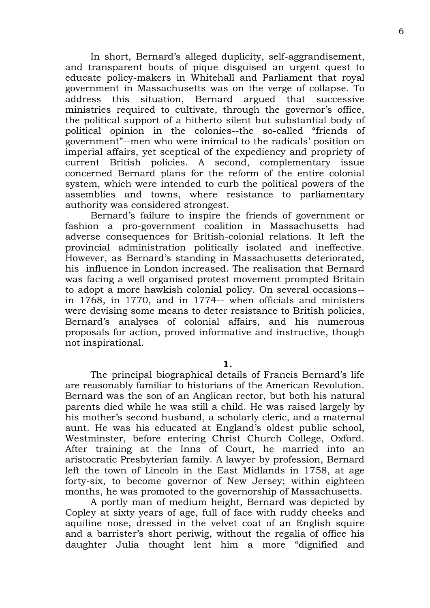In short, Bernard's alleged duplicity, self-aggrandisement, and transparent bouts of pique disguised an urgent quest to educate policy-makers in Whitehall and Parliament that royal government in Massachusetts was on the verge of collapse. To address this situation, Bernard argued that successive ministries required to cultivate, through the governor's office, the political support of a hitherto silent but substantial body of political opinion in the colonies--the so-called "friends of government"--men who were inimical to the radicals' position on imperial affairs, yet sceptical of the expediency and propriety of current British policies. A second, complementary issue concerned Bernard plans for the reform of the entire colonial system, which were intended to curb the political powers of the assemblies and towns, where resistance to parliamentary authority was considered strongest.

Bernard's failure to inspire the friends of government or fashion a pro-government coalition in Massachusetts had adverse consequences for British-colonial relations. It left the provincial administration politically isolated and ineffective. However, as Bernard's standing in Massachusetts deteriorated, his influence in London increased. The realisation that Bernard was facing a well organised protest movement prompted Britain to adopt a more hawkish colonial policy. On several occasions- in 1768, in 1770, and in 1774-- when officials and ministers were devising some means to deter resistance to British policies, Bernard's analyses of colonial affairs, and his numerous proposals for action, proved informative and instructive, though not inspirational.

**1.**

The principal biographical details of Francis Bernard's life are reasonably familiar to historians of the American Revolution. Bernard was the son of an Anglican rector, but both his natural parents died while he was still a child. He was raised largely by his mother's second husband, a scholarly cleric, and a maternal aunt. He was his educated at England's oldest public school, Westminster, before entering Christ Church College, Oxford. After training at the Inns of Court, he married into an aristocratic Presbyterian family. A lawyer by profession, Bernard left the town of Lincoln in the East Midlands in 1758, at age forty-six, to become governor of New Jersey; within eighteen months, he was promoted to the governorship of Massachusetts.

A portly man of medium height, Bernard was depicted by Copley at sixty years of age, full of face with ruddy cheeks and aquiline nose, dressed in the velvet coat of an English squire and a barrister's short periwig, without the regalia of office his daughter Julia thought lent him a more "dignified and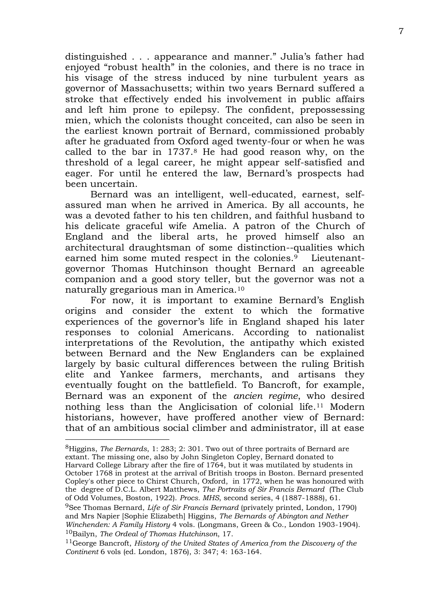distinguished . . . appearance and manner." Julia's father had enjoyed "robust health" in the colonies, and there is no trace in his visage of the stress induced by nine turbulent years as governor of Massachusetts; within two years Bernard suffered a stroke that effectively ended his involvement in public affairs and left him prone to epilepsy. The confident, prepossessing mien, which the colonists thought conceited, can also be seen in the earliest known portrait of Bernard, commissioned probably after he graduated from Oxford aged twenty-four or when he was called to the bar in  $1737.8$  He had good reason why, on the threshold of a legal career, he might appear self-satisfied and eager. For until he entered the law, Bernard's prospects had been uncertain.

Bernard was an intelligent, well-educated, earnest, selfassured man when he arrived in America. By all accounts, he was a devoted father to his ten children, and faithful husband to his delicate graceful wife Amelia. A patron of the Church of England and the liberal arts, he proved himself also an architectural draughtsman of some distinction--qualities which earned him some muted respect in the colonies.<sup>9</sup> Lieutenantgovernor Thomas Hutchinson thought Bernard an agreeable companion and a good story teller, but the governor was not a naturally gregarious man in America.<sup>10</sup>

For now, it is important to examine Bernard's English origins and consider the extent to which the formative experiences of the governor's life in England shaped his later responses to colonial Americans. According to nationalist interpretations of the Revolution, the antipathy which existed between Bernard and the New Englanders can be explained largely by basic cultural differences between the ruling British elite and Yankee farmers, merchants, and artisans they eventually fought on the battlefield. To Bancroft, for example, Bernard was an exponent of the *ancien regime*, who desired nothing less than the Anglicisation of colonial life.<sup>11</sup> Modern historians, however, have proffered another view of Bernard: that of an ambitious social climber and administrator, ill at ease

8Higgins, *The Bernards*, 1: 283; 2: 301. Two out of three portraits of Bernard are extant. The missing one, also by John Singleton Copley, Bernard donated to Harvard College Library after the fire of 1764, but it was mutilated by students in October 1768 in protest at the arrival of British troops in Boston. Bernard presented Copley's other piece to Chirst Church, Oxford, in 1772, when he was honoured with the degree of D.C.L. Albert Matthews, *The Portraits of Sir Francis Bernard* (The Club of Odd Volumes, Boston, 1922). *Procs. MHS*, second series, 4 (1887-1888), 61. 9See Thomas Bernard, *Life of Sir Francis Bernard* (privately printed, London, 1790) and Mrs Napier [Sophie Elizabeth] Higgins, *The Bernards of Abington and Nether Winchenden: A Family History* 4 vols. (Longmans, Green & Co., London 1903-1904). 10Bailyn, *The Ordeal of Thomas Hutchinson*, 17.

<sup>11</sup>George Bancroft, *History of the United States of America from the Discovery of the Continent* 6 vols (ed. London, 1876), 3: 347; 4: 163-164.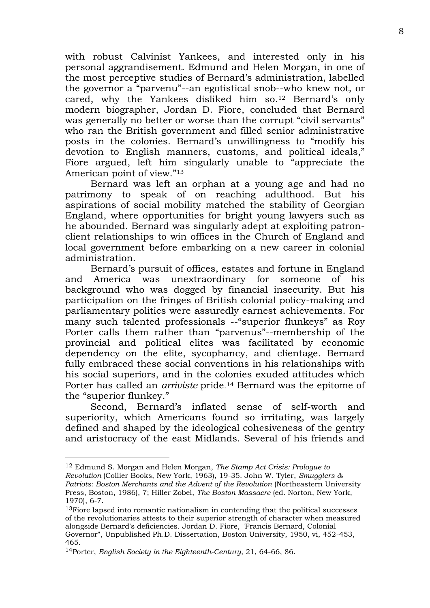with robust Calvinist Yankees, and interested only in his personal aggrandisement. Edmund and Helen Morgan, in one of the most perceptive studies of Bernard's administration, labelled the governor a "parvenu"--an egotistical snob--who knew not, or cared, why the Yankees disliked him so.<sup>12</sup> Bernard's only modern biographer, Jordan D. Fiore, concluded that Bernard was generally no better or worse than the corrupt "civil servants" who ran the British government and filled senior administrative posts in the colonies. Bernard's unwillingness to "modify his devotion to English manners, customs, and political ideals," Fiore argued, left him singularly unable to "appreciate the American point of view."<sup>13</sup>

Bernard was left an orphan at a young age and had no patrimony to speak of on reaching adulthood. But his aspirations of social mobility matched the stability of Georgian England, where opportunities for bright young lawyers such as he abounded. Bernard was singularly adept at exploiting patronclient relationships to win offices in the Church of England and local government before embarking on a new career in colonial administration.

Bernard's pursuit of offices, estates and fortune in England and America was unextraordinary for someone of his background who was dogged by financial insecurity. But his participation on the fringes of British colonial policy-making and parliamentary politics were assuredly earnest achievements. For many such talented professionals --"superior flunkeys" as Roy Porter calls them rather than "parvenus"--membership of the provincial and political elites was facilitated by economic dependency on the elite, sycophancy, and clientage. Bernard fully embraced these social conventions in his relationships with his social superiors, and in the colonies exuded attitudes which Porter has called an *arriviste* pride. <sup>14</sup> Bernard was the epitome of the "superior flunkey."

Second, Bernard's inflated sense of self-worth and superiority, which Americans found so irritating, was largely defined and shaped by the ideological cohesiveness of the gentry and aristocracy of the east Midlands. Several of his friends and

<sup>12</sup> Edmund S. Morgan and Helen Morgan, *The Stamp Act Crisis: Prologue to* 

*Revolution* (Collier Books, New York, 1963), 19-35. John W. Tyler, *Smugglers & Patriots: Boston Merchants and the Advent of the Revolution* (Northeastern University Press, Boston, 1986), 7; Hiller Zobel, *The Boston Massacre* (ed. Norton, New York, 1970), 6-7.

<sup>&</sup>lt;sup>13</sup>Fiore lapsed into romantic nationalism in contending that the political successes of the revolutionaries attests to their superior strength of character when measured alongside Bernard's deficiencies. Jordan D. Fiore, "Francis Bernard, Colonial Governor", Unpublished Ph.D. Dissertation, Boston University, 1950, vi, 452-453, 465.

<sup>14</sup>Porter, *English Society in the Eighteenth-Century,* 21, 64-66, 86.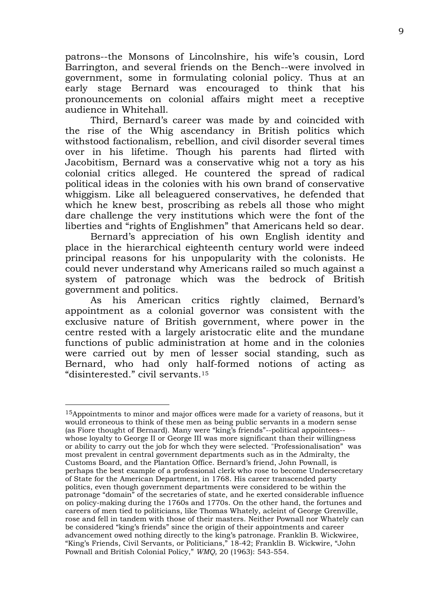patrons--the Monsons of Lincolnshire, his wife's cousin, Lord Barrington, and several friends on the Bench--were involved in government, some in formulating colonial policy. Thus at an early stage Bernard was encouraged to think that his pronouncements on colonial affairs might meet a receptive audience in Whitehall.

Third, Bernard's career was made by and coincided with the rise of the Whig ascendancy in British politics which withstood factionalism, rebellion, and civil disorder several times over in his lifetime. Though his parents had flirted with Jacobitism, Bernard was a conservative whig not a tory as his colonial critics alleged. He countered the spread of radical political ideas in the colonies with his own brand of conservative whiggism. Like all beleaguered conservatives, he defended that which he knew best, proscribing as rebels all those who might dare challenge the very institutions which were the font of the liberties and "rights of Englishmen" that Americans held so dear.

Bernard's appreciation of his own English identity and place in the hierarchical eighteenth century world were indeed principal reasons for his unpopularity with the colonists. He could never understand why Americans railed so much against a system of patronage which was the bedrock of British government and politics.

As his American critics rightly claimed, Bernard's appointment as a colonial governor was consistent with the exclusive nature of British government, where power in the centre rested with a largely aristocratic elite and the mundane functions of public administration at home and in the colonies were carried out by men of lesser social standing, such as Bernard, who had only half-formed notions of acting as "disinterested." civil servants.<sup>15</sup>

<sup>15</sup>Appointments to minor and major offices were made for a variety of reasons, but it would erroneous to think of these men as being public servants in a modern sense (as Fiore thought of Bernard). Many were "king's friends"--political appointees- whose loyalty to George II or George III was more significant than their willingness or ability to carry out the job for whch they were selected. "Professionalisation" was most prevalent in central government departments such as in the Admiralty, the Customs Board, and the Plantation Office. Bernard's friend, John Pownall, is perhaps the best example of a professional clerk who rose to become Undersecretary of State for the American Department, in 1768. His career transcended party politics, even though government departments were considered to be within the patronage "domain" of the secretaries of state, and he exerted considerable influence on policy-making during the 1760s and 1770s. On the other hand, the fortunes and careers of men tied to politicians, like Thomas Whately, acleint of George Grenville, rose and fell in tandem with those of their masters. Neither Pownall nor Whately can be considered "king's friends" since the origin of their appointments and career advancement owed nothing directly to the king's patronage. Franklin B. Wickwiree, "King's Friends, Civil Servants, or Politicians," 18-42; Franklin B. Wickwire, "John Pownall and British Colonial Policy," *WMQ,* 20 (1963): 543-554.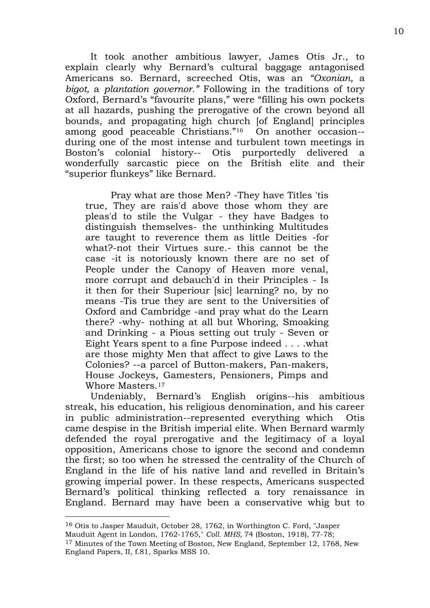It took another ambitious lawyer, James Otis Jr., to explain clearly why Bernard's cultural baggage antagonised Americans so. Bernard, screeched Otis, was an *"Oxonian,* a *bigot,* a *plantation governor."* Following in the traditions of tory Oxford, Bernard's "favourite plans," were "filling his own pockets at all hazards, pushing the prerogative of the crown beyond all bounds, and propagating high church [of England] principles among good peaceable Christians."<sup>16</sup> On another occasion- during one of the most intense and turbulent town meetings in Boston's colonial history-- Otis purportedly delivered a wonderfully sarcastic piece on the British elite and their "superior flunkeys" like Bernard.

Pray what are those Men? -They have Titles 'tis true, They are rais'd above those whom they are pleas'd to stile the Vulgar - they have Badges to distinguish themselves- the unthinking Multitudes are taught to reverence them as little Deities -for what?-not their Virtues sure.- this cannot be the case -it is notoriously known there are no set of People under the Canopy of Heaven more venal, more corrupt and debauch'd in their Principles - Is it then for their Superiour [sic] learning? no, by no means -Tis true they are sent to the Universities of Oxford and Cambridge -and pray what do the Learn there? -why- nothing at all but Whoring, Smoaking and Drinking - a Pious setting out truly - Seven or Eight Years spent to a fine Purpose indeed . . . .what are those mighty Men that affect to give Laws to the Colonies? --a parcel of Button-makers, Pan-makers, House Jockeys, Gamesters, Pensioners, Pimps and Whore Masters.<sup>17</sup>

Undeniably, Bernard's English origins--his ambitious streak, his education, his religious denomination, and his career in public administration--represented everything which Otis came despise in the British imperial elite. When Bernard warmly defended the royal prerogative and the legitimacy of a loyal opposition, Americans chose to ignore the second and condemn the first; so too when he stressed the centrality of the Church of England in the life of his native land and revelled in Britain's growing imperial power. In these respects, Americans suspected Bernard's political thinking reflected a tory renaissance in England. Bernard may have been a conservative whig but to

<sup>16</sup> Otis to Jasper Mauduit, October 28, 1762, in Worthington C. Ford, "Jasper Mauduit Agent in London, 1762-1765," *Coll. MHS,* 74 (Boston, 1918), 77-78;

<sup>&</sup>lt;sup>17</sup> Minutes of the Town Meeting of Boston, New England, September 12, 1768, New England Papers, II, f.81, Sparks MSS 10.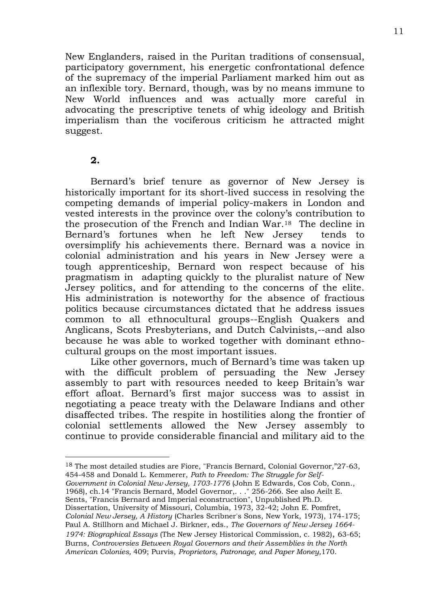New Englanders, raised in the Puritan traditions of consensual, participatory government, his energetic confrontational defence of the supremacy of the imperial Parliament marked him out as an inflexible tory. Bernard, though, was by no means immune to New World influences and was actually more careful in advocating the prescriptive tenets of whig ideology and British imperialism than the vociferous criticism he attracted might suggest.

### **2.**

 $\overline{a}$ 

Bernard's brief tenure as governor of New Jersey is historically important for its short-lived success in resolving the competing demands of imperial policy-makers in London and vested interests in the province over the colony's contribution to the prosecution of the French and Indian War.18 The decline in Bernard's fortunes when he left New Jersey tends to oversimplify his achievements there. Bernard was a novice in colonial administration and his years in New Jersey were a tough apprenticeship, Bernard won respect because of his pragmatism in adapting quickly to the pluralist nature of New Jersey politics, and for attending to the concerns of the elite. His administration is noteworthy for the absence of fractious politics because circumstances dictated that he address issues common to all ethnocultural groups--English Quakers and Anglicans, Scots Presbyterians, and Dutch Calvinists,--and also because he was able to worked together with dominant ethnocultural groups on the most important issues.

Like other governors, much of Bernard's time was taken up with the difficult problem of persuading the New Jersey assembly to part with resources needed to keep Britain's war effort afloat. Bernard's first major success was to assist in negotiating a peace treaty with the Delaware Indians and other disaffected tribes. The respite in hostilities along the frontier of colonial settlements allowed the New Jersey assembly to continue to provide considerable financial and military aid to the

18 The most detailed studies are Fiore, "Francis Bernard, Colonial Governor,"27-63, 454-458 and Donald L. Kemmerer, *Path to Freedom: The Struggle for Self-*

*Government in Colonial New Jersey, 1703-1776* (John E Edwards, Cos Cob, Conn., 1968), ch.14 "Francis Bernard, Model Governor,. . ." 256-266. See also Aeilt E.

Sents, "Francis Bernard and Imperial econstruction", Unpublished Ph.D.

Dissertation, University of Missouri, Columbia, 1973, 32-42; John E. Pomfret, *Colonial New Jersey, A History* (Charles Scribner's Sons, New York, 1973), 174-175; Paul A. Stillhorn and Michael J. Birkner, eds., *The Governors of New Jersey 1664- 1974: Biographical Essays* (The New Jersey Historical Commission, c. 1982), 63-65; Burns, *Controversies Between Royal Governors and their Assemblies in the North American Colonies,* 409; Purvis, *Proprietors, Patronage, and Paper Money,*170.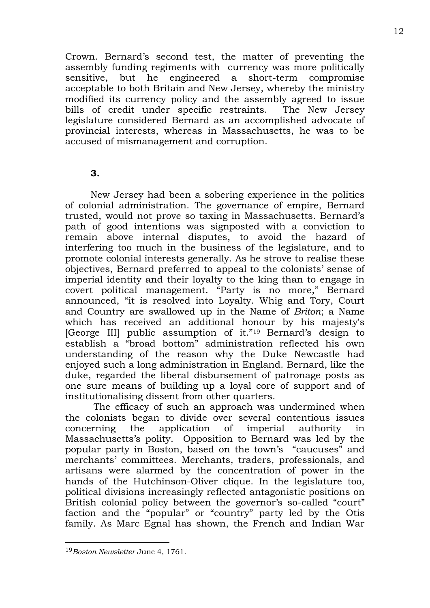Crown. Bernard's second test, the matter of preventing the assembly funding regiments with currency was more politically sensitive, but he engineered a short-term compromise acceptable to both Britain and New Jersey, whereby the ministry modified its currency policy and the assembly agreed to issue bills of credit under specific restraints. The New Jersey legislature considered Bernard as an accomplished advocate of provincial interests, whereas in Massachusetts, he was to be accused of mismanagement and corruption.

# **3.**

New Jersey had been a sobering experience in the politics of colonial administration. The governance of empire, Bernard trusted, would not prove so taxing in Massachusetts. Bernard's path of good intentions was signposted with a conviction to remain above internal disputes, to avoid the hazard of interfering too much in the business of the legislature, and to promote colonial interests generally. As he strove to realise these objectives, Bernard preferred to appeal to the colonists' sense of imperial identity and their loyalty to the king than to engage in covert political management. "Party is no more," Bernard announced, "it is resolved into Loyalty. Whig and Tory, Court and Country are swallowed up in the Name of *Briton*; a Name which has received an additional honour by his majesty's [George III] public assumption of it."<sup>19</sup> Bernard's design to establish a "broad bottom" administration reflected his own understanding of the reason why the Duke Newcastle had enjoyed such a long administration in England. Bernard, like the duke, regarded the liberal disbursement of patronage posts as one sure means of building up a loyal core of support and of institutionalising dissent from other quarters.

The efficacy of such an approach was undermined when the colonists began to divide over several contentious issues concerning the application of imperial authority in Massachusetts's polity. Opposition to Bernard was led by the popular party in Boston, based on the town's "caucuses" and merchants' committees. Merchants, traders, professionals, and artisans were alarmed by the concentration of power in the hands of the Hutchinson-Oliver clique. In the legislature too, political divisions increasingly reflected antagonistic positions on British colonial policy between the governor's so-called "court" faction and the "popular" or "country" party led by the Otis family. As Marc Egnal has shown, the French and Indian War

<sup>19</sup>*Boston Newsletter* June 4, 1761.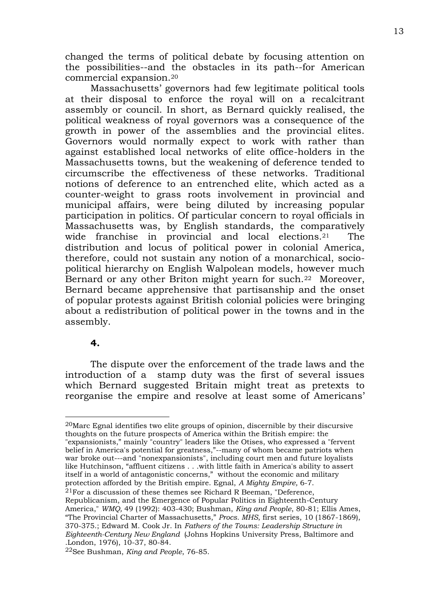changed the terms of political debate by focusing attention on the possibilities--and the obstacles in its path--for American commercial expansion.<sup>20</sup>

Massachusetts' governors had few legitimate political tools at their disposal to enforce the royal will on a recalcitrant assembly or council. In short, as Bernard quickly realised, the political weakness of royal governors was a consequence of the growth in power of the assemblies and the provincial elites. Governors would normally expect to work with rather than against established local networks of elite office-holders in the Massachusetts towns, but the weakening of deference tended to circumscribe the effectiveness of these networks. Traditional notions of deference to an entrenched elite, which acted as a counter-weight to grass roots involvement in provincial and municipal affairs, were being diluted by increasing popular participation in politics. Of particular concern to royal officials in Massachusetts was, by English standards, the comparatively wide franchise in provincial and local elections.<sup>21</sup> The distribution and locus of political power in colonial America, therefore, could not sustain any notion of a monarchical, sociopolitical hierarchy on English Walpolean models, however much Bernard or any other Briton might yearn for such.<sup>22</sup> Moreover, Bernard became apprehensive that partisanship and the onset of popular protests against British colonial policies were bringing about a redistribution of political power in the towns and in the assembly.

### **4.**

 $\overline{a}$ 

The dispute over the enforcement of the trade laws and the introduction of a stamp duty was the first of several issues which Bernard suggested Britain might treat as pretexts to reorganise the empire and resolve at least some of Americans'

 $^{21}$ For a discussion of these themes see Richard R Beeman, "Deference, Republicanism, and the Emergence of Popular Politics in Eighteenth-Century America," *WMQ,* 49 (1992): 403-430; Bushman, *King and People*, 80-81; Ellis Ames, "The Provincial Charter of Massachusetts," *Procs. MHS*, first series, 10 (1867-1869), 370-375.; Edward M. Cook Jr. In *Fathers of the Towns: Leadership Structure in Eighteenth-Century New England* (Johns Hopkins University Press, Baltimore and .London, 1976), 10-37, 80-84.

<sup>20</sup>Marc Egnal identifies two elite groups of opinion, discernible by their discursive thoughts on the future prospects of America within the British empire: the "expansionists," mainly "country" leaders like the Otises, who expressed a "fervent belief in America's potential for greatness,"--many of whom became patriots when war broke out---and "nonexpansionists", including court men and future loyalists like Hutchinson, "affluent citizens . . .with little faith in America's ability to assert itself in a world of antagonistic concerns," without the economic and military protection afforded by the British empire. Egnal, *A Mighty Empire,* 6-7.

<sup>22</sup>See Bushman, *King and People*, 76-85.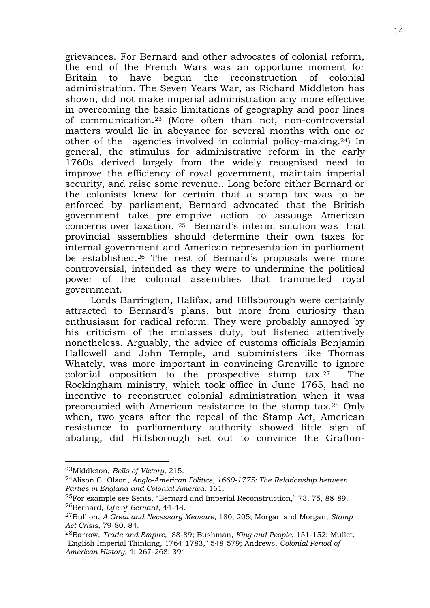grievances. For Bernard and other advocates of colonial reform, the end of the French Wars was an opportune moment for Britain to have begun the reconstruction of colonial administration. The Seven Years War, as Richard Middleton has shown, did not make imperial administration any more effective in overcoming the basic limitations of geography and poor lines of communication.<sup>23</sup> (More often than not, non-controversial matters would lie in abeyance for several months with one or other of the agencies involved in colonial policy-making.24) In general, the stimulus for administrative reform in the early 1760s derived largely from the widely recognised need to improve the efficiency of royal government, maintain imperial security, and raise some revenue.. Long before either Bernard or the colonists knew for certain that a stamp tax was to be enforced by parliament, Bernard advocated that the British government take pre-emptive action to assuage American concerns over taxation. <sup>25</sup> Bernard's interim solution was that provincial assemblies should determine their own taxes for internal government and American representation in parliament be established.<sup>26</sup> The rest of Bernard's proposals were more controversial, intended as they were to undermine the political power of the colonial assemblies that trammelled royal government.

Lords Barrington, Halifax, and Hillsborough were certainly attracted to Bernard's plans, but more from curiosity than enthusiasm for radical reform. They were probably annoyed by his criticism of the molasses duty, but listened attentively nonetheless. Arguably, the advice of customs officials Benjamin Hallowell and John Temple, and subministers like Thomas Whately, was more important in convincing Grenville to ignore colonial opposition to the prospective stamp tax.27 The Rockingham ministry, which took office in June 1765, had no incentive to reconstruct colonial administration when it was preoccupied with American resistance to the stamp tax.<sup>28</sup> Only when, two years after the repeal of the Stamp Act, American resistance to parliamentary authority showed little sign of abating, did Hillsborough set out to convince the Grafton-

<sup>23</sup>Middleton, *Bells of Victory,* 215.

<sup>24</sup>Alison G. Olson, *Anglo-American Politics, 1660-1775: The Relationship between Parties in England and Colonial America,* 161.

<sup>25</sup>For example see Sents, "Bernard and Imperial Reconstruction," 73, 75, 88-89. 26Bernard, *Life of Bernard*, 44-48.

<sup>27</sup>Bullion, *A Great and Necessary Measure*, 180, 205; Morgan and Morgan, *Stamp Act Crisis*, 79-80. 84.

<sup>28</sup>Barrow, *Trade and Empire,* 88-89; Bushman, *King and People*, 151-152; Mullet, "English Imperial Thinking, 1764-1783," 548-579; Andrews, *Colonial Period of American History,* 4: 267-268; 394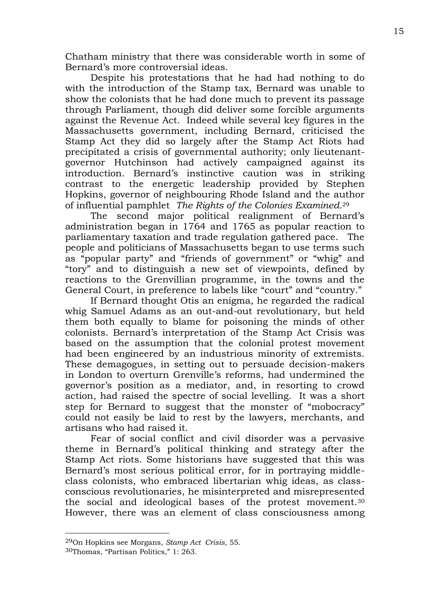Chatham ministry that there was considerable worth in some of Bernard's more controversial ideas.

Despite his protestations that he had had nothing to do with the introduction of the Stamp tax, Bernard was unable to show the colonists that he had done much to prevent its passage through Parliament, though did deliver some forcible arguments against the Revenue Act. Indeed while several key figures in the Massachusetts government, including Bernard, criticised the Stamp Act they did so largely after the Stamp Act Riots had precipitated a crisis of governmental authority; only lieutenantgovernor Hutchinson had actively campaigned against its introduction. Bernard's instinctive caution was in striking contrast to the energetic leadership provided by Stephen Hopkins, governor of neighbouring Rhode Island and the author of influential pamphlet *The Rights of the Colonies Examined.*<sup>29</sup>

The second major political realignment of Bernard's administration began in 1764 and 1765 as popular reaction to parliamentary taxation and trade regulation gathered pace. The people and politicians of Massachusetts began to use terms such as "popular party" and "friends of government" or "whig" and "tory" and to distinguish a new set of viewpoints, defined by reactions to the Grenvillian programme, in the towns and the General Court, in preference to labels like "court" and "country."

If Bernard thought Otis an enigma, he regarded the radical whig Samuel Adams as an out-and-out revolutionary, but held them both equally to blame for poisoning the minds of other colonists. Bernard's interpretation of the Stamp Act Crisis was based on the assumption that the colonial protest movement had been engineered by an industrious minority of extremists. These demagogues, in setting out to persuade decision-makers in London to overturn Grenville's reforms, had undermined the governor's position as a mediator, and, in resorting to crowd action, had raised the spectre of social levelling. It was a short step for Bernard to suggest that the monster of "mobocracy" could not easily be laid to rest by the lawyers, merchants, and artisans who had raised it.

Fear of social conflict and civil disorder was a pervasive theme in Bernard's political thinking and strategy after the Stamp Act riots. Some historians have suggested that this was Bernard's most serious political error, for in portraying middleclass colonists, who embraced libertarian whig ideas, as classconscious revolutionaries, he misinterpreted and misrepresented the social and ideological bases of the protest movement.<sup>30</sup> However, there was an element of class consciousness among

<sup>29</sup>On Hopkins see Morgans, *Stamp Act Crisis*, 55.

<sup>30</sup>Thomas, "Partisan Politics," 1: 263.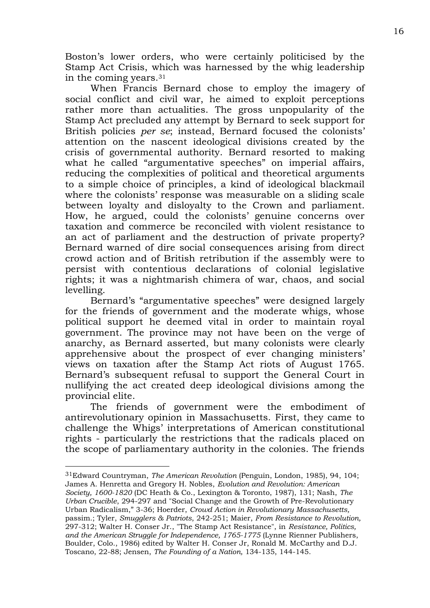Boston's lower orders, who were certainly politicised by the Stamp Act Crisis, which was harnessed by the whig leadership in the coming years.<sup>31</sup>

When Francis Bernard chose to employ the imagery of social conflict and civil war, he aimed to exploit perceptions rather more than actualities. The gross unpopularity of the Stamp Act precluded any attempt by Bernard to seek support for British policies *per se*; instead, Bernard focused the colonists' attention on the nascent ideological divisions created by the crisis of governmental authority. Bernard resorted to making what he called "argumentative speeches" on imperial affairs, reducing the complexities of political and theoretical arguments to a simple choice of principles, a kind of ideological blackmail where the colonists' response was measurable on a sliding scale between loyalty and disloyalty to the Crown and parliament. How, he argued, could the colonists' genuine concerns over taxation and commerce be reconciled with violent resistance to an act of parliament and the destruction of private property? Bernard warned of dire social consequences arising from direct crowd action and of British retribution if the assembly were to persist with contentious declarations of colonial legislative rights; it was a nightmarish chimera of war, chaos, and social levelling.

Bernard's "argumentative speeches" were designed largely for the friends of government and the moderate whigs, whose political support he deemed vital in order to maintain royal government. The province may not have been on the verge of anarchy, as Bernard asserted, but many colonists were clearly apprehensive about the prospect of ever changing ministers' views on taxation after the Stamp Act riots of August 1765. Bernard's subsequent refusal to support the General Court in nullifying the act created deep ideological divisions among the provincial elite.

The friends of government were the embodiment of antirevolutionary opinion in Massachusetts. First, they came to challenge the Whigs' interpretations of American constitutional rights - particularly the restrictions that the radicals placed on the scope of parliamentary authority in the colonies. The friends

<sup>31</sup>Edward Countryman, *The American Revolution* (Penguin, London, 1985), 94, 104; James A. Henretta and Gregory H. Nobles, *Evolution and Revolution: American* 

*Society, 1600-1820* (DC Heath & Co., Lexington & Toronto, 1987), 131; Nash, *The Urban Crucible*, 294-297 and "Social Change and the Growth of Pre-Revolutionary Urban Radicalism," 3-36; Hoerder, *Crowd Action in Revolutionary Massachusetts,* passim.; Tyler, *Smugglers & Patriots*, 242-251; Maier, *From Resistance to Revolution,* 297-312; Walter H. Conser Jr., "The Stamp Act Resistance", in *Resistance, Politics, and the American Struggle for Independence, 1765-1775* (Lynne Rienner Publishers, Boulder, Colo., 1986) edited by Walter H. Conser Jr, Ronald M. McCarthy and D.J. Toscano, 22-88; Jensen, *The Founding of a Nation,* 134-135, 144-145.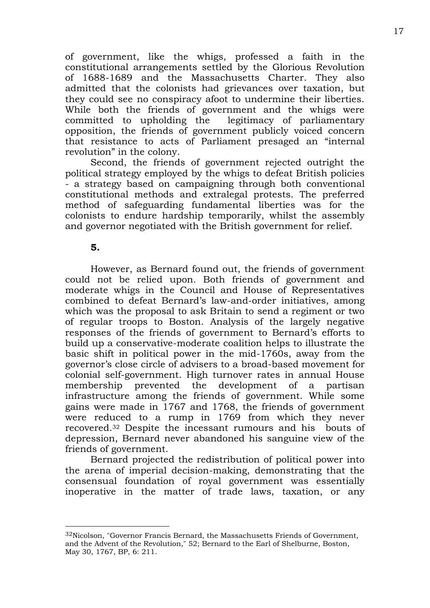of government, like the whigs, professed a faith in the constitutional arrangements settled by the Glorious Revolution of 1688-1689 and the Massachusetts Charter. They also admitted that the colonists had grievances over taxation, but they could see no conspiracy afoot to undermine their liberties. While both the friends of government and the whigs were committed to upholding the legitimacy of parliamentary opposition, the friends of government publicly voiced concern that resistance to acts of Parliament presaged an "internal revolution" in the colony.

Second, the friends of government rejected outright the political strategy employed by the whigs to defeat British policies - a strategy based on campaigning through both conventional constitutional methods and extralegal protests. The preferred method of safeguarding fundamental liberties was for the colonists to endure hardship temporarily, whilst the assembly and governor negotiated with the British government for relief.

#### **5.**

 $\overline{a}$ 

However, as Bernard found out, the friends of government could not be relied upon. Both friends of government and moderate whigs in the Council and House of Representatives combined to defeat Bernard's law-and-order initiatives, among which was the proposal to ask Britain to send a regiment or two of regular troops to Boston. Analysis of the largely negative responses of the friends of government to Bernard's efforts to build up a conservative-moderate coalition helps to illustrate the basic shift in political power in the mid-1760s, away from the governor's close circle of advisers to a broad-based movement for colonial self-government. High turnover rates in annual House membership prevented the development of a partisan infrastructure among the friends of government. While some gains were made in 1767 and 1768, the friends of government were reduced to a rump in 1769 from which they never recovered.<sup>32</sup> Despite the incessant rumours and his bouts of depression, Bernard never abandoned his sanguine view of the friends of government.

Bernard projected the redistribution of political power into the arena of imperial decision-making, demonstrating that the consensual foundation of royal government was essentially inoperative in the matter of trade laws, taxation, or any

<sup>32</sup>Nicolson, "Governor Francis Bernard, the Massachusetts Friends of Government, and the Advent of the Revolution," 52; Bernard to the Earl of Shelburne, Boston, May 30, 1767, BP, 6: 211.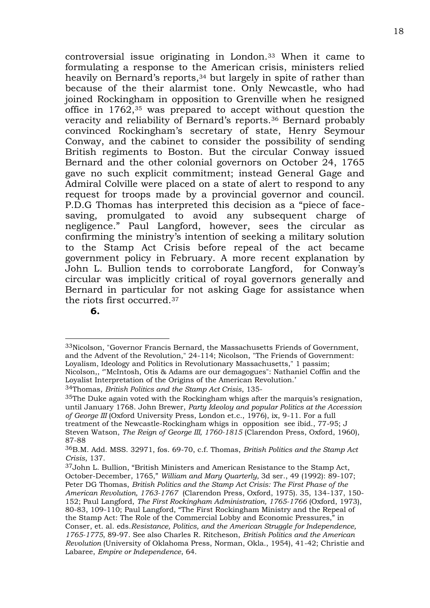controversial issue originating in London.<sup>33</sup> When it came to formulating a response to the American crisis, ministers relied heavily on Bernard's reports,<sup>34</sup> but largely in spite of rather than because of the their alarmist tone. Only Newcastle, who had joined Rockingham in opposition to Grenville when he resigned office in 1762,<sup>35</sup> was prepared to accept without question the veracity and reliability of Bernard's reports.<sup>36</sup> Bernard probably convinced Rockingham's secretary of state, Henry Seymour Conway, and the cabinet to consider the possibility of sending British regiments to Boston. But the circular Conway issued Bernard and the other colonial governors on October 24, 1765 gave no such explicit commitment; instead General Gage and Admiral Colville were placed on a state of alert to respond to any request for troops made by a provincial governor and council. P.D.G Thomas has interpreted this decision as a "piece of facesaving, promulgated to avoid any subsequent charge of negligence." Paul Langford, however, sees the circular as confirming the ministry's intention of seeking a military solution to the Stamp Act Crisis before repeal of the act became government policy in February. A more recent explanation by John L. Bullion tends to corroborate Langford, for Conway's circular was implicitly critical of royal governors generally and Bernard in particular for not asking Gage for assistance when the riots first occurred.<sup>37</sup>

**6.**

<sup>33</sup>Nicolson, "Governor Francis Bernard, the Massachusetts Friends of Government, and the Advent of the Revolution," 24-114; Nicolson, "The Friends of Government: Loyalism, Ideology and Politics in Revolutionary Massachusetts," 1 passim; Nicolson,, '"McIntosh, Otis & Adams are our demagogues": Nathaniel Coffin and the Loyalist Interpretation of the Origins of the American Revolution.'

<sup>34</sup>Thomas, *British Politics and the Stamp Act Crisis*, 135-

<sup>&</sup>lt;sup>35</sup>The Duke again voted with the Rockingham whigs after the marquis's resignation, until January 1768. John Brewer, *Party Ideoloy and popular Politics at the Accession of George III* (Oxford University Press, London et.c., 1976), ix, 9-11. For a full treatment of the Newcastle-Rockingham whigs in opposition see ibid., 77-95; J Steven Watson, *The Reign of George III, 1760-1815* (Clarendon Press, Oxford, 1960),

<sup>87-88</sup>

<sup>36</sup>B.M. Add. MSS. 32971, fos. 69-70, c.f. Thomas, *British Politics and the Stamp Act Crisis*, 137.

<sup>37</sup>John L. Bullion, "British Ministers and American Resistance to the Stamp Act, October-December, 1765," *William and Mary Quarterly,* 3d ser., 49 (1992): 89-107; Peter DG Thomas, *British Politics and the Stamp Act Crisis: The First Phase of the American Revolution, 1763-1767* (Clarendon Press, Oxford, 1975). 35, 134-137, 150- 152; Paul Langford, *The First Rockingham Administration, 1765-1766* (Oxford, 1973), 80-83, 109-110; Paul Langford, "The First Rockingham Ministry and the Repeal of the Stamp Act: The Role of the Commercial Lobby and Economic Pressures," in Conser, et. al. eds.*Resistance, Politics, and the American Struggle for Independence, 1765-1775*, 89-97. See also Charles R. Ritcheson, *British Politics and the American Revolution* (University of Oklahoma Press, Norman, Okla., 1954), 41-42; Christie and Labaree, *Empire or Independence*, 64.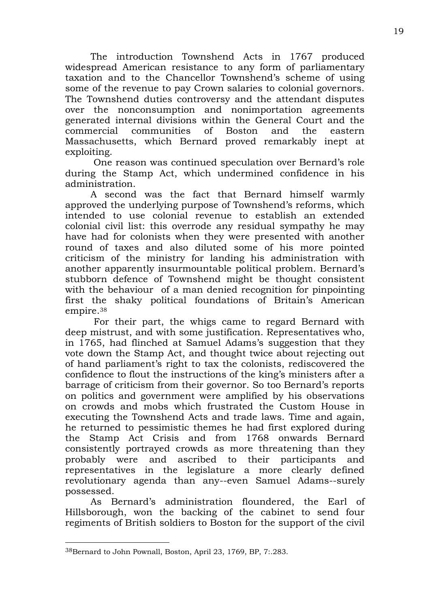The introduction Townshend Acts in 1767 produced widespread American resistance to any form of parliamentary taxation and to the Chancellor Townshend's scheme of using some of the revenue to pay Crown salaries to colonial governors. The Townshend duties controversy and the attendant disputes over the nonconsumption and nonimportation agreements generated internal divisions within the General Court and the commercial communities of Boston and the eastern Massachusetts, which Bernard proved remarkably inept at exploiting.

One reason was continued speculation over Bernard's role during the Stamp Act, which undermined confidence in his administration.

A second was the fact that Bernard himself warmly approved the underlying purpose of Townshend's reforms, which intended to use colonial revenue to establish an extended colonial civil list: this overrode any residual sympathy he may have had for colonists when they were presented with another round of taxes and also diluted some of his more pointed criticism of the ministry for landing his administration with another apparently insurmountable political problem. Bernard's stubborn defence of Townshend might be thought consistent with the behaviour of a man denied recognition for pinpointing first the shaky political foundations of Britain's American empire.<sup>38</sup>

For their part, the whigs came to regard Bernard with deep mistrust, and with some justification. Representatives who, in 1765, had flinched at Samuel Adams's suggestion that they vote down the Stamp Act, and thought twice about rejecting out of hand parliament's right to tax the colonists, rediscovered the confidence to flout the instructions of the king's ministers after a barrage of criticism from their governor. So too Bernard's reports on politics and government were amplified by his observations on crowds and mobs which frustrated the Custom House in executing the Townshend Acts and trade laws. Time and again, he returned to pessimistic themes he had first explored during the Stamp Act Crisis and from 1768 onwards Bernard consistently portrayed crowds as more threatening than they probably were and ascribed to their participants and representatives in the legislature a more clearly defined revolutionary agenda than any--even Samuel Adams--surely possessed.

As Bernard's administration floundered, the Earl of Hillsborough, won the backing of the cabinet to send four regiments of British soldiers to Boston for the support of the civil

<sup>38</sup>Bernard to John Pownall, Boston, April 23, 1769, BP, 7:.283.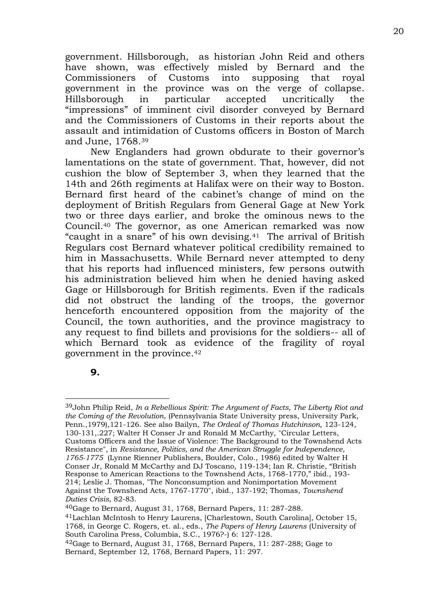government. Hillsborough, as historian John Reid and others have shown, was effectively misled by Bernard and the Commissioners of Customs into supposing that royal government in the province was on the verge of collapse. Hillsborough in particular accepted uncritically the "impressions" of imminent civil disorder conveyed by Bernard and the Commissioners of Customs in their reports about the assault and intimidation of Customs officers in Boston of March and June, 1768.<sup>39</sup>

New Englanders had grown obdurate to their governor's lamentations on the state of government. That, however, did not cushion the blow of September 3, when they learned that the 14th and 26th regiments at Halifax were on their way to Boston. Bernard first heard of the cabinet's change of mind on the deployment of British Regulars from General Gage at New York two or three days earlier, and broke the ominous news to the Council.<sup>40</sup> The governor, as one American remarked was now "caught in a snare" of his own devising.41 The arrival of British Regulars cost Bernard whatever political credibility remained to him in Massachusetts. While Bernard never attempted to deny that his reports had influenced ministers, few persons outwith his administration believed him when he denied having asked Gage or Hillsborough for British regiments. Even if the radicals did not obstruct the landing of the troops, the governor henceforth encountered opposition from the majority of the Council, the town authorities, and the province magistracy to any request to find billets and provisions for the soldiers-- all of which Bernard took as evidence of the fragility of royal government in the province.<sup>42</sup>

**9.**

<sup>39</sup>John Philip Reid, *In a Rebellious Spirit: The Argument of Facts, The Liberty Riot and the Coming of the Revolution*, (Pennsylvania State University press, University Park, Penn.,1979),121-126. See also Bailyn, *The Ordeal of Thomas Hutchinson,* 123-124, 130-131,.227; Walter H Conser Jr and Ronald M McCarthy, "Circular Letters, Customs Officers and the Issue of Violence: The Background to the Townshend Acts Resistance", in *Resistance, Politics, and the American Struggle for Independence, 1765-1775* (Lynne Rienner Publishers, Boulder, Colo., 1986) edited by Walter H Conser Jr, Ronald M McCarthy and DJ Toscano, 119-134; Ian R. Christie, "British Response to American Reactions to the Townshend Acts, 1768-1770," ibid., 193- 214; Leslie J. Thomas, "The Nonconsumption and Nonimportation Movement Against the Townshend Acts, 1767-1770", ibid., 137-192; Thomas, *Townshend Duties Crisis,* 82-83.

<sup>40</sup>Gage to Bernard, August 31, 1768, Bernard Papers, 11: 287-288.

<sup>41</sup>Lachlan McIntosh to Henry Laurens, [Charlestown, South Carolina], October 15, 1768, in George C. Rogers, et. al., eds., *The Papers of Henry Laurens* (University of South Carolina Press, Columbia, S.C., 1976?-) 6: 127-128.

<sup>42</sup>Gage to Bernard, August 31, 1768, Bernard Papers, 11: 287-288; Gage to Bernard, September 12, 1768, Bernard Papers, 11: 297.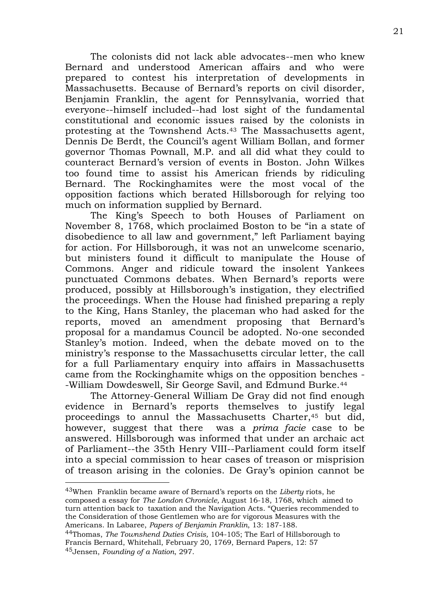The colonists did not lack able advocates--men who knew Bernard and understood American affairs and who were prepared to contest his interpretation of developments in Massachusetts. Because of Bernard's reports on civil disorder, Benjamin Franklin, the agent for Pennsylvania, worried that everyone--himself included--had lost sight of the fundamental constitutional and economic issues raised by the colonists in protesting at the Townshend Acts.<sup>43</sup> The Massachusetts agent, Dennis De Berdt, the Council's agent William Bollan, and former governor Thomas Pownall, M.P. and all did what they could to counteract Bernard's version of events in Boston. John Wilkes too found time to assist his American friends by ridiculing Bernard. The Rockinghamites were the most vocal of the opposition factions which berated Hillsborough for relying too much on information supplied by Bernard.

The King's Speech to both Houses of Parliament on November 8, 1768, which proclaimed Boston to be "in a state of disobedience to all law and government," left Parliament baying for action. For Hillsborough, it was not an unwelcome scenario, but ministers found it difficult to manipulate the House of Commons. Anger and ridicule toward the insolent Yankees punctuated Commons debates. When Bernard's reports were produced, possibly at Hillsborough's instigation, they electrified the proceedings. When the House had finished preparing a reply to the King, Hans Stanley, the placeman who had asked for the reports, moved an amendment proposing that Bernard's proposal for a mandamus Council be adopted. No-one seconded Stanley's motion. Indeed, when the debate moved on to the ministry's response to the Massachusetts circular letter, the call for a full Parliamentary enquiry into affairs in Massachusetts came from the Rockinghamite whigs on the opposition benches - -William Dowdeswell, Sir George Savil, and Edmund Burke.<sup>44</sup>

The Attorney-General William De Gray did not find enough evidence in Bernard's reports themselves to justify legal proceedings to annul the Massachusetts Charter,<sup>45</sup> but did, however, suggest that there was a *prima facie* case to be answered. Hillsborough was informed that under an archaic act of Parliament--the 35th Henry VIII--Parliament could form itself into a special commission to hear cases of treason or misprision of treason arising in the colonies. De Gray's opinion cannot be

43When Franklin became aware of Bernard's reports on the *Liberty* riots, he composed a essay for *The London Chronicle,* August 16-18, 1768, which aimed to turn attention back to taxation and the Navigation Acts. "Queries recommended to the Consideration of those Gentlemen who are for vigorous Measures with the Americans. In Labaree, *Papers of Benjamin Franklin*, 13: 187-188.

<sup>44</sup>Thomas, *The Townshend Duties Crisis,* 104-105; The Earl of Hillsborough to Francis Bernard, Whitehall, February 20, 1769, Bernard Papers, 12: 57 45Jensen, *Founding of a Nation*, 297.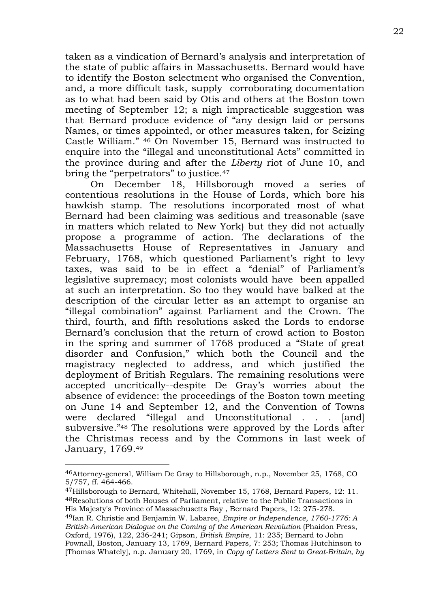taken as a vindication of Bernard's analysis and interpretation of the state of public affairs in Massachusetts. Bernard would have to identify the Boston selectment who organised the Convention, and, a more difficult task, supply corroborating documentation as to what had been said by Otis and others at the Boston town meeting of September 12; a nigh impracticable suggestion was that Bernard produce evidence of "any design laid or persons Names, or times appointed, or other measures taken, for Seizing Castle William." <sup>46</sup> On November 15, Bernard was instructed to enquire into the "illegal and unconstitutional Acts" committed in the province during and after the *Liberty* riot of June 10, and bring the "perpetrators" to justice.<sup>47</sup>

On December 18, Hillsborough moved a series of contentious resolutions in the House of Lords, which bore his hawkish stamp. The resolutions incorporated most of what Bernard had been claiming was seditious and treasonable (save in matters which related to New York) but they did not actually propose a programme of action. The declarations of the Massachusetts House of Representatives in January and February, 1768, which questioned Parliament's right to levy taxes, was said to be in effect a "denial" of Parliament's legislative supremacy; most colonists would have been appalled at such an interpretation. So too they would have balked at the description of the circular letter as an attempt to organise an "illegal combination" against Parliament and the Crown. The third, fourth, and fifth resolutions asked the Lords to endorse Bernard's conclusion that the return of crowd action to Boston in the spring and summer of 1768 produced a "State of great disorder and Confusion," which both the Council and the magistracy neglected to address, and which justified the deployment of British Regulars. The remaining resolutions were accepted uncritically--despite De Gray's worries about the absence of evidence: the proceedings of the Boston town meeting on June 14 and September 12, and the Convention of Towns were declared "illegal and Unconstitutional . . . [and] subversive."<sup>48</sup> The resolutions were approved by the Lords after the Christmas recess and by the Commons in last week of January, 1769.<sup>49</sup>

 $\overline{a}$ 

47Hillsborough to Bernard, Whitehall, November 15, 1768, Bernard Papers, 12: 11. 48Resolutions of both Houses of Parliament, relative to the Public Transactions in His Majesty's Province of Massachusetts Bay , Bernard Papers, 12: 275-278.

49Ian R. Christie and Benjamin W. Labaree, *Empire or Independence, 1760-1776: A British-American Dialogue on the Coming of the American Revolution* (Phaidon Press, Oxford, 1976), 122, 236-241; Gipson, *British Empire*, 11: 235; Bernard to John Pownall, Boston, January 13, 1769, Bernard Papers, 7: 253; Thomas Hutchinson to [Thomas Whately], n.p. January 20, 1769, in *Copy of Letters Sent to Great-Britain, by* 

<sup>46</sup>Attorney-general, William De Gray to Hillsborough, n.p., November 25, 1768, CO 5/757, ff. 464-466.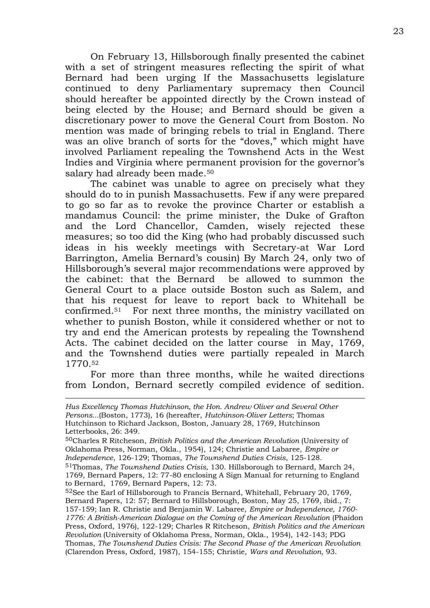On February 13, Hillsborough finally presented the cabinet with a set of stringent measures reflecting the spirit of what Bernard had been urging If the Massachusetts legislature continued to deny Parliamentary supremacy then Council should hereafter be appointed directly by the Crown instead of being elected by the House; and Bernard should be given a discretionary power to move the General Court from Boston. No mention was made of bringing rebels to trial in England. There was an olive branch of sorts for the "doves," which might have involved Parliament repealing the Townshend Acts in the West Indies and Virginia where permanent provision for the governor's salary had already been made.<sup>50</sup>

The cabinet was unable to agree on precisely what they should do to in punish Massachusetts. Few if any were prepared to go so far as to revoke the province Charter or establish a mandamus Council: the prime minister, the Duke of Grafton and the Lord Chancellor, Camden, wisely rejected these measures; so too did the King (who had probably discussed such ideas in his weekly meetings with Secretary-at War Lord Barrington, Amelia Bernard's cousin) By March 24, only two of Hillsborough's several major recommendations were approved by the cabinet: that the Bernard be allowed to summon the General Court to a place outside Boston such as Salem, and that his request for leave to report back to Whitehall be confirmed.51 For next three months, the ministry vacillated on whether to punish Boston, while it considered whether or not to try and end the American protests by repealing the Townshend Acts. The cabinet decided on the latter course in May, 1769, and the Townshend duties were partially repealed in March 1770.<sup>52</sup>

For more than three months, while he waited directions from London, Bernard secretly compiled evidence of sedition.

 $\overline{a}$ 

50Charles R Ritcheson, *British Politics and the American Revolution* (University of Oklahoma Press, Norman, Okla., 1954), 124; Christie and Labaree, *Empire or Independence*, 126-129; Thomas, *The Townshend Duties Crisis*, 125-128.

*Hus Excellency Thomas Hutchinson, the Hon. Andrew Oliver and Several Other Persons...*(Boston, 1773), 16 (hereafter, *Hutchinson-Oliver Letters*; Thomas Hutchinson to Richard Jackson, Boston, January 28, 1769, Hutchinson Letterbooks, 26: 349.

<sup>51</sup>Thomas, *The Townshend Duties Crisis,* 130. Hillsborough to Bernard, March 24, 1769, Bernard Papers, 12: 77-80 enclosing A Sign Manual for returning to England to Bernard, 1769, Bernard Papers, 12: 73.

<sup>52</sup>See the Earl of Hillsborough to Francis Bernard, Whitehall, February 20, 1769, Bernard Papers, 12: 57; Bernard to Hillsborough, Boston, May 25, 1769, ibid., 7: 157-159; Ian R. Christie and Benjamin W. Labaree, *Empire or Independence, 1760- 1776: A British-American Dialogue on the Coming of the American Revolution* (Phaidon Press, Oxford, 1976), 122-129; Charles R Ritcheson, *British Politics and the American Revolution* (University of Oklahoma Press, Norman, Okla., 1954), 142-143; PDG Thomas, *The Townshend Duties Crisis: The Second Phase of the American Revolution*  (Clarendon Press, Oxford, 1987), 154-155; Christie, *Wars and Revolution*, 93.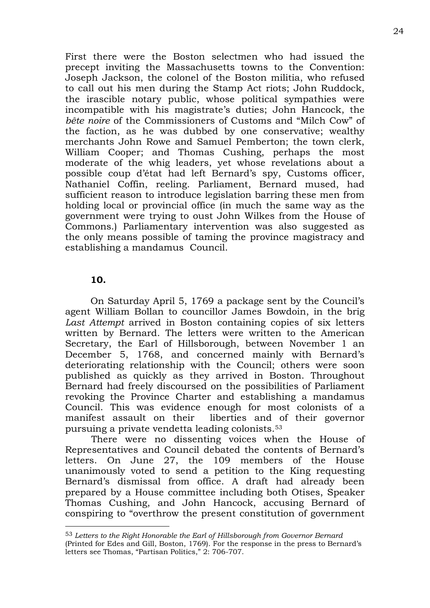First there were the Boston selectmen who had issued the precept inviting the Massachusetts towns to the Convention: Joseph Jackson, the colonel of the Boston militia, who refused to call out his men during the Stamp Act riots; John Ruddock, the irascible notary public, whose political sympathies were incompatible with his magistrate's duties; John Hancock, the *bête noire* of the Commissioners of Customs and "Milch Cow" of the faction, as he was dubbed by one conservative; wealthy merchants John Rowe and Samuel Pemberton; the town clerk, William Cooper; and Thomas Cushing, perhaps the most moderate of the whig leaders, yet whose revelations about a possible coup d'état had left Bernard's spy, Customs officer, Nathaniel Coffin, reeling. Parliament, Bernard mused, had sufficient reason to introduce legislation barring these men from holding local or provincial office (in much the same way as the government were trying to oust John Wilkes from the House of Commons.) Parliamentary intervention was also suggested as the only means possible of taming the province magistracy and establishing a mandamus Council.

### **10.**

 $\overline{a}$ 

On Saturday April 5, 1769 a package sent by the Council's agent William Bollan to councillor James Bowdoin, in the brig *Last Attempt* arrived in Boston containing copies of six letters written by Bernard. The letters were written to the American Secretary, the Earl of Hillsborough, between November 1 an December 5, 1768, and concerned mainly with Bernard's deteriorating relationship with the Council; others were soon published as quickly as they arrived in Boston. Throughout Bernard had freely discoursed on the possibilities of Parliament revoking the Province Charter and establishing a mandamus Council. This was evidence enough for most colonists of a manifest assault on their liberties and of their governor pursuing a private vendetta leading colonists.<sup>53</sup>

There were no dissenting voices when the House of Representatives and Council debated the contents of Bernard's letters. On June 27, the 109 members of the House unanimously voted to send a petition to the King requesting Bernard's dismissal from office. A draft had already been prepared by a House committee including both Otises, Speaker Thomas Cushing, and John Hancock, accusing Bernard of conspiring to "overthrow the present constitution of government

<sup>53</sup> *Letters to the Right Honorable the Earl of Hillsborough from Governor Bernard*  (Printed for Edes and Gill, Boston, 1769). For the response in the press to Bernard's letters see Thomas, "Partisan Politics," 2: 706-707.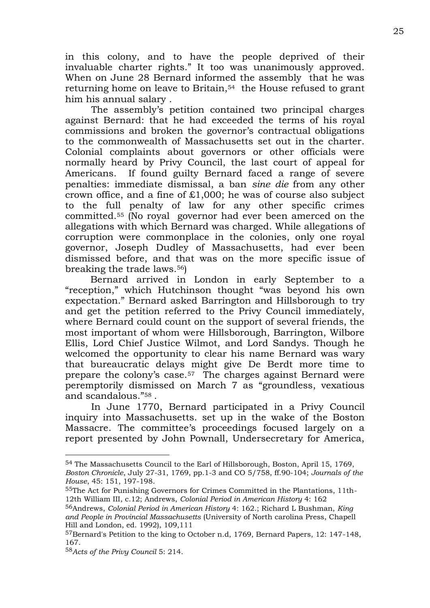in this colony, and to have the people deprived of their invaluable charter rights." It too was unanimously approved. When on June 28 Bernard informed the assembly that he was returning home on leave to Britain,<sup>54</sup> the House refused to grant him his annual salary .

The assembly's petition contained two principal charges against Bernard: that he had exceeded the terms of his royal commissions and broken the governor's contractual obligations to the commonwealth of Massachusetts set out in the charter. Colonial complaints about governors or other officials were normally heard by Privy Council, the last court of appeal for Americans. If found guilty Bernard faced a range of severe penalties: immediate dismissal, a ban *sine die* from any other crown office, and a fine of £1,000; he was of course also subject to the full penalty of law for any other specific crimes committed.<sup>55</sup> (No royal governor had ever been amerced on the allegations with which Bernard was charged. While allegations of corruption were commonplace in the colonies, only one royal governor, Joseph Dudley of Massachusetts, had ever been dismissed before, and that was on the more specific issue of breaking the trade laws.56)

Bernard arrived in London in early September to a "reception," which Hutchinson thought "was beyond his own expectation." Bernard asked Barrington and Hillsborough to try and get the petition referred to the Privy Council immediately, where Bernard could count on the support of several friends, the most important of whom were Hillsborough, Barrington, Wilbore Ellis, Lord Chief Justice Wilmot, and Lord Sandys. Though he welcomed the opportunity to clear his name Bernard was wary that bureaucratic delays might give De Berdt more time to prepare the colony's case.57 The charges against Bernard were peremptorily dismissed on March 7 as "groundless, vexatious and scandalous."<sup>58</sup> .

In June 1770, Bernard participated in a Privy Council inquiry into Massachusetts. set up in the wake of the Boston Massacre. The committee's proceedings focused largely on a report presented by John Pownall, Undersecretary for America,

<sup>54</sup> The Massachusetts Council to the Earl of Hillsborough, Boston, April 15, 1769, *Boston Chronicle*, July 27-31, 1769, pp.1-3 and CO 5/758, ff.90-104; *Journals of the House*, 45: 151, 197-198.

<sup>55</sup>The Act for Punishing Governors for Crimes Committed in the Plantations, 11th-12th William III, c.12; Andrews, *Colonial Period in American History* 4: 162

<sup>56</sup>Andrews, *Colonial Period in American History* 4: 162.; Richard L Bushman, *King and People in Provincial Massachusetts* (University of North carolina Press, Chapell Hill and London, ed. 1992), 109,111

<sup>57</sup>Bernard's Petition to the king to October n.d, 1769, Bernard Papers, 12: 147-148, 167.

<sup>58</sup>*Acts of the Privy Council* 5: 214.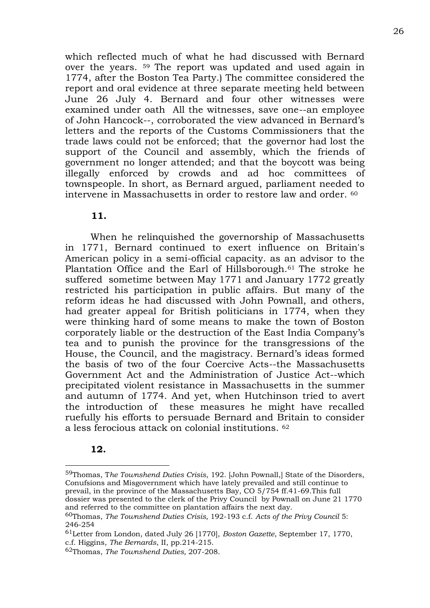which reflected much of what he had discussed with Bernard over the years. <sup>59</sup> The report was updated and used again in 1774, after the Boston Tea Party.) The committee considered the report and oral evidence at three separate meeting held between June 26 July 4. Bernard and four other witnesses were examined under oath All the witnesses, save one--an employee of John Hancock--, corroborated the view advanced in Bernard's letters and the reports of the Customs Commissioners that the trade laws could not be enforced; that the governor had lost the support of the Council and assembly, which the friends of government no longer attended; and that the boycott was being illegally enforced by crowds and ad hoc committees of townspeople. In short, as Bernard argued, parliament needed to intervene in Massachusetts in order to restore law and order. <sup>60</sup>

### **11.**

When he relinquished the governorship of Massachusetts in 1771, Bernard continued to exert influence on Britain's American policy in a semi-official capacity. as an advisor to the Plantation Office and the Earl of Hillsborough.<sup>61</sup> The stroke he suffered sometime between May 1771 and January 1772 greatly restricted his participation in public affairs. But many of the reform ideas he had discussed with John Pownall, and others, had greater appeal for British politicians in 1774, when they were thinking hard of some means to make the town of Boston corporately liable or the destruction of the East India Company's tea and to punish the province for the transgressions of the House, the Council, and the magistracy. Bernard's ideas formed the basis of two of the four Coercive Acts--the Massachusetts Government Act and the Administration of Justice Act--which precipitated violent resistance in Massachusetts in the summer and autumn of 1774. And yet, when Hutchinson tried to avert the introduction of these measures he might have recalled ruefully his efforts to persuade Bernard and Britain to consider a less ferocious attack on colonial institutions. <sup>62</sup>

# **12.**

<sup>59</sup>Thomas, T*he Townshend Duties Crisis*, 192. [John Pownall,] State of the Disorders, Conufsions and Misgovernment which have lately prevailed and still continue to prevail, in the province of the Massachusetts Bay, CO 5/754 ff.41-69.This full dossier was presented to the clerk of the Privy Council by Pownall on June 21 1770 and referred to the committee on plantation affairs the next day.

<sup>60</sup>Thomas, *The Townshend Duties Crisis,* 192-193 c.f. *Acts of the Privy Council* 5: 246-254

<sup>61</sup>Letter from London, dated July 26 [1770], *Boston Gazette*, September 17, 1770, c.f. Higgins, *The Bernards*, II, pp.214-215.

<sup>62</sup>Thomas, *The Townshend Duties,* 207-208.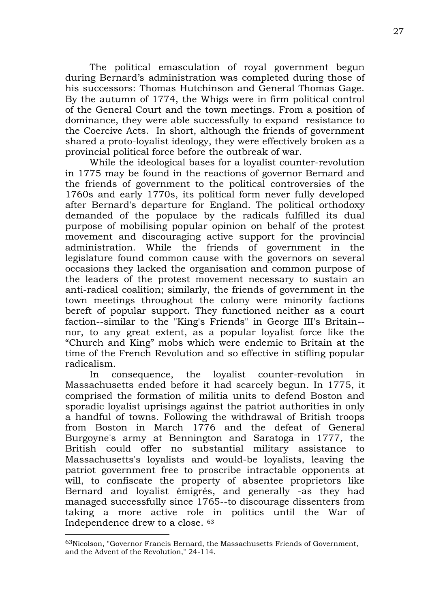The political emasculation of royal government begun during Bernard's administration was completed during those of his successors: Thomas Hutchinson and General Thomas Gage. By the autumn of 1774, the Whigs were in firm political control of the General Court and the town meetings. From a position of dominance, they were able successfully to expand resistance to the Coercive Acts. In short, although the friends of government shared a proto-loyalist ideology, they were effectively broken as a provincial political force before the outbreak of war.

While the ideological bases for a loyalist counter-revolution in 1775 may be found in the reactions of governor Bernard and the friends of government to the political controversies of the 1760s and early 1770s, its political form never fully developed after Bernard's departure for England. The political orthodoxy demanded of the populace by the radicals fulfilled its dual purpose of mobilising popular opinion on behalf of the protest movement and discouraging active support for the provincial administration. While the friends of government in the legislature found common cause with the governors on several occasions they lacked the organisation and common purpose of the leaders of the protest movement necessary to sustain an anti-radical coalition; similarly, the friends of government in the town meetings throughout the colony were minority factions bereft of popular support. They functioned neither as a court faction--similar to the "King's Friends" in George III's Britain- nor, to any great extent, as a popular loyalist force like the "Church and King" mobs which were endemic to Britain at the time of the French Revolution and so effective in stifling popular radicalism.

In consequence, the loyalist counter-revolution in Massachusetts ended before it had scarcely begun. In 1775, it comprised the formation of militia units to defend Boston and sporadic loyalist uprisings against the patriot authorities in only a handful of towns. Following the withdrawal of British troops from Boston in March 1776 and the defeat of General Burgoyne's army at Bennington and Saratoga in 1777, the British could offer no substantial military assistance to Massachusetts's loyalists and would-be loyalists, leaving the patriot government free to proscribe intractable opponents at will, to confiscate the property of absentee proprietors like Bernard and loyalist émigrés, and generally -as they had managed successfully since 1765--to discourage dissenters from taking a more active role in politics until the War of Independence drew to a close. <sup>63</sup>

<sup>63</sup>Nicolson, "Governor Francis Bernard, the Massachusetts Friends of Government, and the Advent of the Revolution," 24-114.